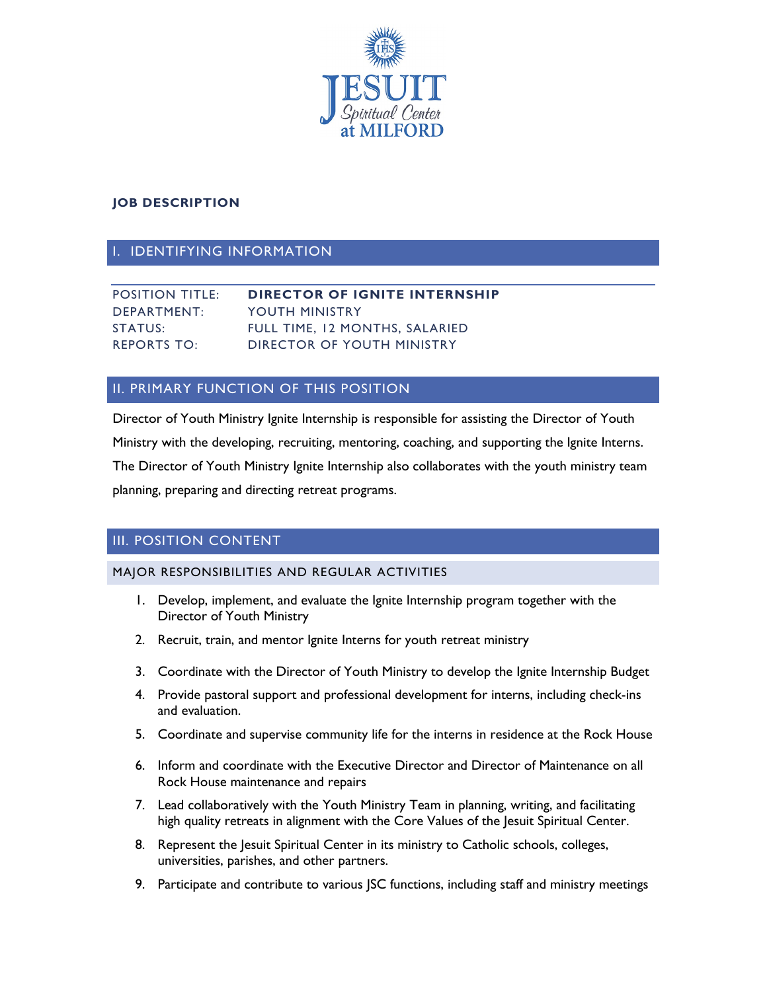

## **JOB DESCRIPTION**

## I. IDENTIFYING INFORMATION

| <b>POSITION TITLE:</b> | <b>DIRECTOR OF IGNITE INTERNSHIP</b> |
|------------------------|--------------------------------------|
| DEPARTMENT:            | YOUTH MINISTRY                       |
| STATUS:                | FULL TIME. 12 MONTHS. SALARIED       |
| <b>REPORTS TO:</b>     | DIRECTOR OF YOUTH MINISTRY           |

## II. PRIMARY FUNCTION OF THIS POSITION

Director of Youth Ministry Ignite Internship is responsible for assisting the Director of Youth Ministry with the developing, recruiting, mentoring, coaching, and supporting the Ignite Interns. The Director of Youth Ministry Ignite Internship also collaborates with the youth ministry team planning, preparing and directing retreat programs.

## III. POSITION CONTENT

### MAJOR RESPONSIBILITIES AND REGULAR ACTIVITIES

- 1. Develop, implement, and evaluate the Ignite Internship program together with the Director of Youth Ministry
- 2. Recruit, train, and mentor Ignite Interns for youth retreat ministry
- 3. Coordinate with the Director of Youth Ministry to develop the Ignite Internship Budget
- 4. Provide pastoral support and professional development for interns, including check-ins and evaluation.
- 5. Coordinate and supervise community life for the interns in residence at the Rock House
- 6. Inform and coordinate with the Executive Director and Director of Maintenance on all Rock House maintenance and repairs
- 7. Lead collaboratively with the Youth Ministry Team in planning, writing, and facilitating high quality retreats in alignment with the Core Values of the Jesuit Spiritual Center.
- 8. Represent the Jesuit Spiritual Center in its ministry to Catholic schools, colleges, universities, parishes, and other partners.
- 9. Participate and contribute to various JSC functions, including staff and ministry meetings